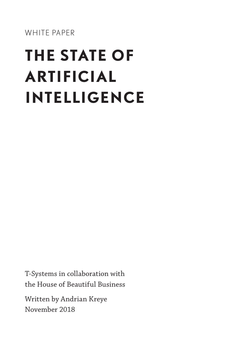WHITE PAPER

# **THE STATE OF ARTIFICIAL INTELLIGENCE**

T-Systems in collaboration with the House of Beautiful Business

Written by Andrian Kreye November 2018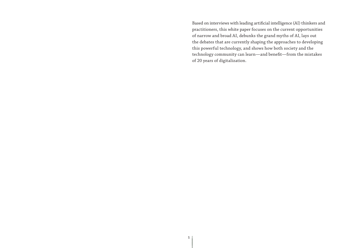Based on interviews with leading artificial intelligence (AI) thinkers and practitioners, this white paper focuses on the current opportunities of narrow and broad AI, debunks the grand myths of AI, lays out the debates that are currently shaping the approaches to developing this powerful technology, and shows how both society and the technology community can learn—and benefit—from the mistakes of 20 years of digitalization.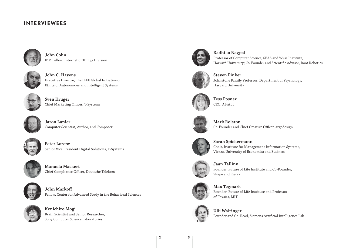### **INTERVIEWEES**



**John Cohn** IBM Fellow, Internet of Things Division



**John C. Havens**  Executive Director, The IEEE Global Initiative on Ethics of Autonomous and Intelligent Systems



**Sven Krüger** Chief Marketing Officer, T-Systems



**Jaron Lanier** Computer Scientist, Author, and Composer



**Peter Lorenz** Senior Vice President Digital Solutions, T-Systems



**Manuela Mackert** Chief Compliance Officer, Deutsche Telekom



**John Markoff** Fellow, Center for Advanced Study in the Behavioral Sciences



**Kenichiro Mogi** Brain Scientist and Senior Researcher, Sony Computer Science Laboratories



**Radhika Nagpal**

Professor of Computer Science, SEAS and Wyss Institute, Harvard University; Co-Founder and Scientific Advisor, Root Robotics



**Steven Pinker** Johnstone Family Professor, Department of Psychology, Harvard University



**Tess Posner** CEO, AI4ALL



**Mark Rolston** Co-Founder and Chief Creative Officer, argodesign



**Sarah Spiekermann** Chair, Institute for Management Information Systems,



**Jaan Tallinn** Founder, Future of Life Institute and Co-Founder,

Vienna University of Economics and Business



**Max Tegmark** Founder, Future of Life Institute and Professor of Physics, MIT

# **Ulli Waltinger**

Skype and Kazaa

Founder and Co-Head, Siemens Artificial Intelligence Lab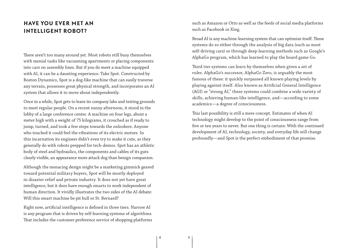## **HAVE YOU EVER MET AN INTELLIGENT ROBOT?**

There aren't too many around yet. Most robots still busy themselves with menial tasks like vacuuming apartments or placing components into cars on assembly lines. But if you do meet a machine equipped with AI, it can be a daunting experience. Take Spot. Constructed by Boston Dynamics, Spot is a dog-like machine that can easily traverse any terrain, possesses great physical strength, and incorporates an AI system that allows it to move about independently.

Once in a while, Spot gets to leave its company labs and testing grounds to meet regular people. On a recent sunny afternoon, it stood in the lobby of a large conference center. A machine on four legs, about a meter high with a weight of 75 kilograms, it crouched as if ready to jump, turned, and took a few steps towards the onlookers. Anyone who touched it could feel the vibrations of its electric motors. In this incarnation its engineer didn't even try to make it cute, as they generally do with robots prepped for tech-demos. Spot has an athletic body of steel and hydraulics, the components and cables of its guts clearly visible, an appearance more attack dog than benign companion.

Although the menacing design might be a marketing gimmick geared toward potential military buyers, Spot will be mostly deployed in disaster relief and private industry. It does not yet have great intelligence, but it does have enough smarts to work independent of human direction. It vividly illustrates the two sides of the AI debate: Will this smart machine be pit bull or St. Bernard?

Right now, artificial intelligence is defined in three tiers. Narrow AI is any program that is driven by self-learning systems of algorithms. That includes the customer preference service of shopping platforms such as Amazon or Otto as well as the feeds of social media platforms such as Facebook or Xing.

Broad AI is any machine-learning system that can optimize itself. These systems do so either through the analysis of big data (such as most self-driving cars) or through deep-learning methods such as Google's AlphaGo program, which has learned to play the board game Go.

Third tier systems can learn by themselves when given a set of rules. AlphaGo's successor, AlphaGo Zero, is arguably the most famous of these: it quickly surpassed all known playing levels by playing against itself. Also known as Artificial General Intelligence (AGI) or "strong AI," these systems could combine a wide variety of skills, achieving human-like intelligence, and—according to some academics—a degree of consciousness.

This last possibility is still a mere concept. Estimates of when AI technology might develop to the point of consciousness range from five or ten years to never. But one thing is certain: With the continued development of AI, technology, society, and everyday life will change profoundly—and Spot is the perfect embodiment of that promise.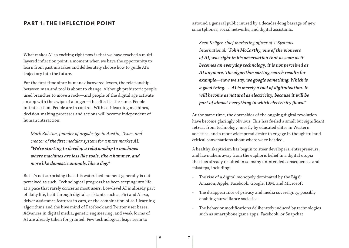## **PART 1: THE INFLECTION POINT**

What makes AI so exciting right now is that we have reached a multilayered inflection point, a moment when we have the opportunity to learn from past mistakes and deliberately choose how to guide AI's trajectory into the future.

For the first time since humans discovered levers, the relationship between man and tool is about to change. Although prehistoric people used branches to move a rock—and people of the digital age activate an app with the swipe of a finger—the effect is the same. People initiate action. People are in control. With self-learning machines, decision-making processes and actions will become independent of human interaction.

*Mark Rolston, founder of argodesign in Austin, Texas, and creator of the first modular system for a mass market AI: "We're starting to develop a relationship to machines where machines are less like tools, like a hammer, and more like domestic animals, like a dog."*

But it's not surprising that this watershed moment generally is not perceived as such. Technological progress has been seeping into life at a pace that rarely concerns most users. Low-level AI is already part of daily life, be it through digital assistants such as Siri and Alexa, driver assistance features in cars, or the combination of self-learning algorithms and the hive mind of Facebook and Twitter user bases. Advances in digital media, genetic engineering, and weak forms of AI are already taken for granted. Few technological leaps seem to

astound a general public inured by a decades-long barrage of new smartphones, social networks, and digital assistants.

*Sven Krüger, chief marketing officer of T-Systems International: "John McCarthy, one of the pioneers of AI, was right in his observation that as soon as it becomes an everyday technology, it is not perceived as AI anymore. The algorithm sorting search results for example—now we say, we google something. Which is a good thing. … AI is merely a tool of digitalization. It will become as natural as electricity, because it will be part of almost everything in which electricity flows."*

At the same time, the downsides of the ongoing digital revolution have become glaringly obvious. This has fueled a small but significant retreat from technology, mostly by educated elites in Western societies, and a more widespread desire to engage in thoughtful and critical conversations about where we're headed.

A healthy skepticism has begun to steer developers, entrepreneurs, and lawmakers away from the euphoric belief in a digital utopia that has already resulted in so many unintended consequences and missteps, including:

- The rise of a digital monopoly dominated by the Big 6: Amazon, Apple, Facebook, Google, IBM, and Microsoft
- The disappearance of privacy and media sovereignty, possibly enabling surveillance societies
- The behavior modifications deliberately induced by technologies such as smartphone game apps, Facebook, or Snapchat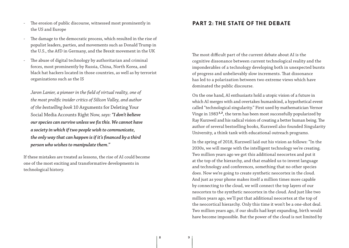- The erosion of public discourse, witnessed most prominently in the US and Europe
- The damage to the democratic process, which resulted in the rise of populist leaders, parties, and movements such as Donald Trump in the U.S., the AfD in Germany, and the Brexit movement in the UK
- The abuse of digital technology by authoritarian and criminal forces, most prominently by Russia, China, North Korea, and black hat hackers located in those countries, as well as by terrorist organizations such as the IS

*Jaron Lanier, a pioneer in the field of virtual reality, one of the most prolific insider critics of Silicon Valley, and author of the bestselling book* 10 Arguments for Deleting Your Social Media Accounts Right Now*, says: "I don't believe our species can survive unless we fix this. We cannot have a society in which if two people wish to communicate, the only way that can happen is if it's financed by a third person who wishes to manipulate them."*

If these mistakes are treated as lessons, the rise of AI could become one of the most exciting and transformative developments in technological history.

## **PART 2: THE STATE OF THE DEBATE**

The most difficult part of the current debate about AI is the cognitive dissonance between current technological reality and the imponderables of a technology developing both in unexpected bursts of progress and unbelievably slow increments. That dissonance has led to a polarization between two extreme views which have dominated the public discourse.

On the one hand, AI enthusiasts hold a utopic vision of a future in which AI merges with and overtakes humankind, a hypothetical event called "technological singularity." First used by mathematician Vernor Vinge in 1983*1,2*, the term has been most successfully popularized by Ray Kurzweil and his radical vision of creating a better human being. The author of several bestselling books, Kurzweil also founded Singularity University, a think tank with educational outreach programs.

In the spring of 2018, Kurzweil laid out his vision as follows: "In the 2030s, we will merge with the intelligent technology we're creating. Two million years ago we got this additional neocortex and put it at the top of the hierarchy, and that enabled us to invent language and technology and conferences, something that no other species does. Now we're going to create synthetic neocortex in the cloud. And just as your phone makes itself a million times more capable by connecting to the cloud, we will connect the top layers of our neocortex to the synthetic neocortex in the cloud. And just like two million years ago, we'll put that additional neocortex at the top of the neocortical hierarchy. Only this time it won't be a one-shot deal. Two million years ago, if our skulls had kept expanding, birth would have become impossible. But the power of the cloud is not limited by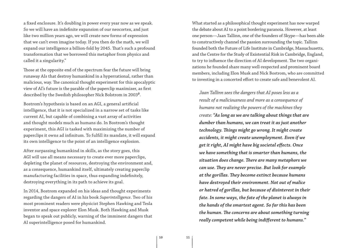a fixed enclosure. It's doubling in power every year now as we speak. So we will have an indefinite expansion of our neocortex, and just like two million years ago, we will create new forms of expression that we can't even imagine today. If you then do the math, we will expand our intelligence a billion-fold by 2045. That's such a profound transformation that we borrowed this metaphor from physics and called it a singularity."

Those at the opposite end of the spectrum fear the future will bring runaway AIs that destroy humankind in a hyperrational, rather than malicious, way. The canonical thought experiment for this apocalyptic view of AI's future is the parable of the paperclip maximizer, as first described by the Swedish philosopher Nick Bolstrom in 2003*<sup>3</sup>*.

Bostrom's hypothesis is based on an AGI, a general artificial intelligence, that it is not specialized in a narrow set of tasks like current AI, but capable of combining a vast array of activities and thought models much as humans do. In Bostrom's thought experiment, this AGI is tasked with maximizing the number of paperclips it owns ad infinitum. To fulfill its mandate, it will expand its own intelligence to the point of an intelligence explosion.

After surpassing humankind in skills, as the story goes, this AGI will use all means necessary to create ever more paperclips, depleting the planet of resources, destroying the environment and, as a consequence, humankind itself, ultimately creating paperclip manufacturing facilities in space, thus expanding indefinitely, destroying everything in its path to achieve its goal.

In 2014, Bostrom expanded on his ideas and thought experiments regarding the dangers of AI in his book *Superintelligence*. Two of his most prominent readers were physicist Stephen Hawking and Tesla inventor and space explorer Elon Musk. Both Hawking and Musk began to speak out publicly, warning of the imminent dangers that AI superintelligence posed for humankind.

What started as a philosophical thought experiment has now warped the debate about AI to a point bordering paranoia. However, at least one person—Jaan Tallinn, one of the founders of Skype—has been able to constructively channel the passion surrounding the topic. Tallinn founded both the Future of Life Institute in Cambridge, Massachusetts, and the Centre for the Study of Existential Risk in Cambridge, England, to try to influence the direction of AI development. The two organizations he founded share many well-respected and prominent board members, including Elon Musk and Nick Bostrom, who are committed to investing in a concerted effort to create safe and benevolent AI.

*Jaan Tallinn sees the dangers that AI poses less as a result of a maliciousness and more as a consequence of humans not realizing the powers of the machines they create: "As long as we are talking about things that are dumber than humans, we can treat it as just another technology. Things might go wrong. It might create accidents, it might create unemployment. Even if we get it right, AI might have big societal effects. Once we have something that is smarter than humans, the situation does change. There are many metaphors we can use. They are never precise. But look for example at the gorillas. They become extinct because humans have destroyed their environment. Not out of malice or hatred of gorillas, but because of disinterest in their fate. In some ways, the fate of the planet is always in the hands of the smartest agent. So far this has been the human. The concerns are about something turning really competent while being indifferent to humans."*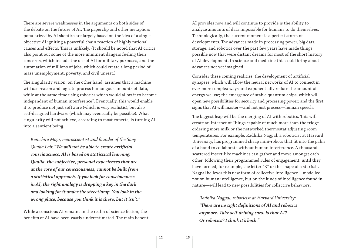There are severe weaknesses in the arguments on both sides of the debate on the future of AI. The paperclip and other metaphors popularized by AI skeptics are largely based on the idea of a single objective AI igniting a powerful chain reaction of highly rational causes and effects. This is unlikely. (It should be noted that AI critics also point out some of the more imminent dangers fueling their concerns, which include the use of AI for military purposes, and the automation of millions of jobs, which could create a long period of mass unemployment, poverty, and civil unrest.)

The singularity vision, on the other hand, assumes that a machine will use reason and logic to process humongous amounts of data, while at the same time using robotics which would allow it to become independent of human interference*<sup>4</sup>*. Eventually, this would enable it to produce not just software (which is very realistic), but also self-designed hardware (which may eventually be possible). What singularity will not achieve, according to most experts, is turning AI into a sentient being.

*Kenichiro Mogi, neuroscientist and founder of the Sony Qualia Lab: "We will not be able to create artificial consciousness. AI is based on statistical learning. Qualia, the subjective, personal experiences that are at the core of our consciousness, cannot be built from a statistical approach. If you look for consciousness in AI, the right analogy is dropping a key in the dark and looking for it under the streetlamp. You look in the wrong place, because you think it is there, but it isn't."*

While a conscious AI remains in the realm of science fiction, the benefits of AI have been vastly underestimated. The main benefit AI provides now and will continue to provide is the ability to analyze amounts of data impossible for humans to do themselves. Technologically, the current moment is a perfect storm of developments. The advances made in processing power, big data storage, and robotics over the past few years have made things possible now that were distant dreams for most of the short history of AI development. In science and medicine this could bring about advances not yet imagined.

Consider these coming realities: the development of artificial synapses, which will allow the neural networks of AI to connect in ever more complex ways and exponentially reduce the amount of energy we use; the emergence of stable quantum chips, which will open new possibilities for security and processing power; and the first signs that AI will master—and not just process—human speech.

The biggest leap will be the merging of AI with robotics. This will create an Internet of Things capable of much more than the fridge ordering more milk or the networked thermostat adjusting room temperatures. For example, Radhika Nagpal, a roboticist at Harvard University, has programmed cheap mini-robots that fit into the palm of a hand to collaborate without human interference. A thousand scattered insect-like machines can gather and move amongst each other, following their programmed rules of engagement, until they have formed, for example, the letter "K" or the shape of a starfish. Nagpal believes this new form of collective intelligence—modelled not on human intelligence, but on the kinds of intelligence found in nature—will lead to new possibilities for collective behaviors.

*Radhika Nagpal, roboticist at Harvard University: "There are no tight definitions of AI and robotics anymore. Take self-driving cars. Is that AI? Or robotics? I think it's both."*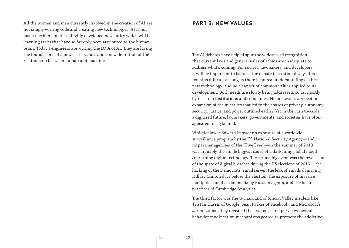All the women and men currently involved in the creation of AI are not simply writing code and creating new technologies. AI is not just a mechanism, it is a highly developed new entity which will be learning tasks that have so far only been attributed to the human brain. Today's engineers are writing the DNA of AI. They are laying the foundations of a new set of values and a new definition of the relationship between human and machine.

#### **PART 3: NEW VALUES**

The AI debates have helped spur the widespread recognition that current laws and general rules of ethics are inadequate to address what's coming. For society, lawmakers, and developers it will be important to balance the debate in a rational way. This remains difficult as long as there is no real understanding of this new technology, and no clear set of common values applied to its development. Both needs are slowly being addressed, so far mostly by research institutions and companies. No one wants a repeat or expansion of the mistakes that led to the abuses of privacy, autonomy, security, justice, and power outlined earlier. Yet in the rush towards a digitized future, lawmakers, governments, and societies have often appeared to lag behind.

Whistleblower Edward Snowden's exposure of a worldwide surveillance program by the US National Security Agency—and its partner agencies of the "Five Eyes"—in the summer of 2013 was arguably the single biggest cause of a darkening global mood concerning digital technology. The second big event was the revelation of the spate of digital breaches during the US elections of 2016 —the hacking of the Democrats' email server, the leak of emails damaging Hillary Clinton days before the election, the exposure of massive manipulation of social media by Russian agents, and the business practices of Cambridge Analytica.

The third factor was the turnaround of Silicon Valley insiders like Tristan Harris of Google, Sean Parker of Facebook, and Microsoft's Jaron Lanier. They revealed the existence and pervasiveness of behavior modification mechanisms geared to promote the addictive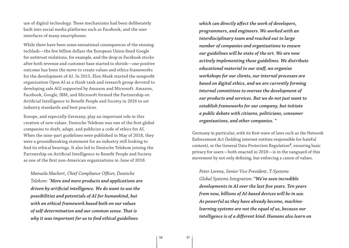use of digital technology. These mechanisms had been deliberately built into social media platforms such as Facebook, and the user interfaces of many smartphones.

While there have been some sensational consequences of the ensuing techlash—the five billion dollars the European Union fined Google for antitrust violations, for example, and the drop in Facebook stocks after both revenue and customer base started to shrink—one positive outcome has been the move to create values and ethics frameworks for the development of AI. In 2015, Elon Musk started the nonprofit organization Open AI as a think tank and research group devoted to developing safe AGI supported by Amazon and Microsoft. Amazon, Facebook, Google, IBM, and Microsoft formed the Partnership on Artificial Intelligence to Benefit People and Society in 2016 to set industry standards and best practices.

Europe, and especially Germany, play an important role in this creation of new values. Deutsche Telekom was one of the first global companies to draft, adapt, and publicize a code of ethics for AI. When the nine-part guidelines were published in May of 2018, they were a groundbreaking statement for an industry still looking to find its ethical bearings. It also led to Deutsche Telekom joining the Partnership on Artificial Intelligence to Benefit People and Society as one of the first non-American organizations in June of 2018.

*Manuela Mackert, Chief Compliance Officer, Deutsche Telekom: "More and more products and applications are driven by artificial intelligence. We do want to use the possibilities and potentials of AI for humankind, but with an ethical framework based both on our values of self-determination and our common sense. That is why it was important for us to find ethical guidelines* 

*which can directly affect the work of developers, programmers, and engineers. We worked with an interdisciplinary team and reached out to large number of companies and organizations to ensure our guidelines will be state of the art. We are now actively implementing these guidelines. We distribute educational material to our staff, we organize workshops for our clients, our internal processes are based on digital ethics, and we are currently forming internal committees to oversee the development of our products and services. But we do not just want to establish frameworks for our company, but initiate a public debate with citizens, politicians, consumer organizations, and other companies. "*

Germany in particular, with its first wave of laws such as the Network Enforcement Act (holding internet entities responsible for hateful content), or the General Data Protection Regulation*<sup>5</sup>*, ensuring basic privacy for users—both enacted in 2018—is in the vanguard of this movement by not only defining, but enforcing a canon of values.

*Peter Lorenz, Senior Vice President, T-Systems Global Systems Integration: "We've seen incredible developments in AI over the last five years. Ten years from now, billions of AI-based devices will be in use. As powerful as they have already become, machinelearning systems are not the equal of us, because our intelligence is of a different kind: Humans also learn on*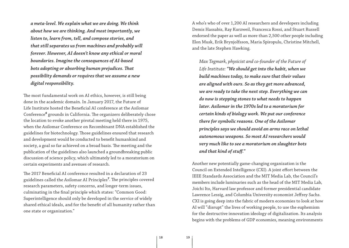*a meta-level. We explain what we are doing. We think about how we are thinking. And most importantly, we listen to, learn from, tell, and compose stories, and that still separates us from machines and probably will forever. However, AI doesn't know any ethical or moral boundaries. Imagine the consequences of AI-based bots adopting or absorbing human prejudices. That possibility demands or requires that we assume a new digital responsibility.* 

The most fundamental work on AI ethics, however, is still being done in the academic domain. In January 2017, the Future of Life Institute hosted the Beneficial AI conference at the Asilomar Conference*<sup>6</sup>* grounds in California. The organizers deliberately chose the location to evoke another pivotal meeting held there in 1975, when the Asilomar Conference on Recombinant DNA established the guidelines for biotechnology. Those guidelines ensured that research and development would be conducted to benefit humankind and society, a goal so far achieved on a broad basis. The meeting and the publication of the guidelines also launched a groundbreaking public discussion of science policy, which ultimately led to a moratorium on certain experiments and avenues of research.

The 2017 Beneficial AI conference resulted in a declaration of 23 guidelines called the Asilomar AI Principles*<sup>7</sup>* . The principles covered research parameters, safety concerns, and longer-term issues, culminating in the final principle which states: "Common Good: Superintelligence should only be developed in the service of widely shared ethical ideals, and for the benefit of all humanity rather than one state or organization."

A who's who of over 1,200 AI researchers and developers including Demis Hassabis, Ray Kurzweil, Francesca Rossi, and Stuart Russell endorsed the paper as well as more than 2,500 other people including Elon Musk, Erik Brynjolfsson, Maria Spiropulu, Christine Mitchell, and the late Stephen Hawking.

*Max Tegmark, physicist and co-founder of the Future of Life Institute: "We should get into the habit, when we build machines today, to make sure that their values are aligned with ours. So as they get more advanced, we are ready to take the next step. Everything we can do now is stepping stones to what needs to happen later. Asilomar in the 1970s led to a moratorium for certain kinds of biology work. We put our conference there for symbolic reasons. One of the Asilomar principles says we should avoid an arms race on lethal autonomous weapons. So most AI researchers would very much like to see a moratorium on slaughter bots and that kind of stuff."*

Another new potentially game-changing organization is the Council on Extended Intelligence (CXI). A joint effort between the IEEE Standards Association and the MIT Media Lab, the Council's members include luminaries such as the head of the MIT Media Lab, Joichi Ito, Harvard law professor and former presidential candidate Lawrence Lessig, and Columbia University economist Jeffrey Sachs. CXI is going deep into the fabric of modern economies to look at how AI will "disrupt" the lives of working people, to use the euphemism for the destructive innovation ideology of digitalization. Its analysis begins with the problems of GDP economies, meaning environments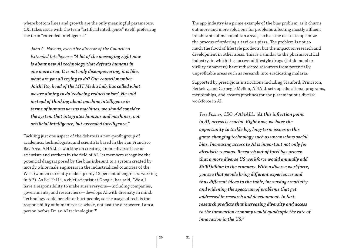where bottom lines and growth are the only meaningful parameters. CXI takes issue with the term "artificial intelligence" itself, preferring the term "extended intelligence."

*John C. Havens, executive director of the Council on Extended Intelligence: "A lot of the messaging right now is about new AI technology that defeats humans in one more area. It is not only disempowering, it is like, what are you all trying to do? Our council member Joichi Ito, head of the MIT Media Lab, has called what we are aiming to do 'reducing reductionism'. He said instead of thinking about machine intelligence in terms of humans versus machines, we should consider the system that integrates humans and machines, not artificial intelligence, but extended intelligence."*

Tackling just one aspect of the debate is a non-profit group of academics, technologists, and scientists based in the San Francisco Bay Area. AI4ALL is working on creating a more diverse base of scientists and workers in the field of AI. Its members recognize the potential dangers posed by the bias inherent to a system created by mostly white male engineers in the industrialized countries of the West (women currently make up only 12 percent of engineers working in AI*<sup>8</sup>* ). As Fei-Fei Li, a chief scientist at Google, has said, "We all have a responsibility to make sure everyone—including companies, governments, and researchers—develops AI with diversity in mind. Technology could benefit or hurt people, so the usage of tech is the responsibility of humanity as a whole, not just the discoverer. I am a person before I'm an AI technologist."*<sup>9</sup>*

The app industry is a prime example of the bias problem, as it churns out more and more solutions for problems affecting mostly affluent inhabitants of metropolitan areas, such as the desire to optimize the process of ordering a taxi or a pizza. The problem is not so much the flood of lifestyle products, but the impact on research and development in other areas. This is a similar to the pharmaceutical industry, in which the success of lifestyle drugs (think mood or virility enhancers) have redirected resources from potentially unprofitable areas such as research into eradicating malaria.

Supported by prestigious institutions including Stanford, Princeton, Berkeley, and Carnegie Mellon, AI4ALL sets up educational programs, mentorships, and creates pipelines for the placement of a diverse workforce in AI.

*Tess Posner, CEO of AI4ALL: "At this inflection point in AI, access is crucial. Right now, we have the opportunity to tackle big, long-term issues in this game-changing technology such as unconscious social bias. Increasing access to AI is important not only for altruistic reasons. Research out of Intel has proven that a more diverse US workforce would annually add \$500 billion to the economy. With a diverse workforce, you see that people bring different experiences and thus different ideas to the table, increasing creativity and widening the spectrum of problems that get addressed in research and development. In fact, research predicts that increasing diversity and access to the innovation economy would quadruple the rate of innovation in the US."*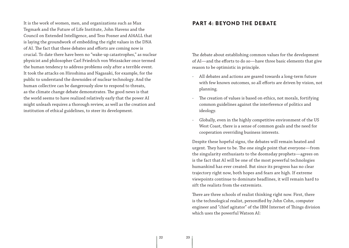It is the work of women, men, and organizations such as Max Tegmark and the Future of Life Institute, John Havens and the Council on Extended Intelligence, and Tess Posner and AI4ALL that is laying the groundwork of embedding the right values in the DNA of AI. The fact that these debates and efforts are coming now is crucial. To date there have been no "wake-up catastrophes," as nuclear physicist and philosopher Carl Friedrich von Weizsäcker once termed the human tendency to address problems only after a terrible event. It took the attacks on Hiroshima and Nagasaki, for example, for the public to understand the downsides of nuclear technology. And the human collective can be dangerously slow to respond to threats, as the climate change debate demonstrates. The good news is that the world seems to have realized relatively early that the power AI might unleash requires a thorough review, as well as the creation and institution of ethical guidelines, to steer its development.

### **PART 4: BEYOND THE DEBATE**

The debate about establishing common values for the development of AI—and the efforts to do so—have three basic elements that give reason to be optimistic in principle.

- All debates and actions are geared towards a long-term future with few known outcomes, so all efforts are driven by vision, not planning.
- The creation of values is based on ethics, not morals, fortifying common guidelines against the interference of politics and ideology.
- Globally, even in the highly competitive environment of the US West Coast, there is a sense of common goals and the need for cooperation overriding business interests.

Despite these hopeful signs, the debates will remain heated and urgent. They have to be. The one single point that everyone—from the singularity enthusiasts to the doomsday prophets—agrees on is the fact that AI will be one of the most powerful technologies humankind has ever created. But since its progress has no clear trajectory right now, both hopes and fears are high. If extreme viewpoints continue to dominate headlines, it will remain hard to sift the realists from the extremists.

There are three schools of realist thinking right now. First, there is the technological realist, personified by John Cohn, computer engineer and "chief agitator" of the IBM Internet of Things division which uses the powerful Watson AI: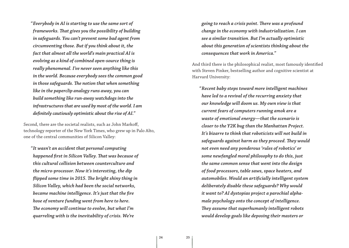*" Everybody in AI is starting to use the same sort of frameworks. That gives you the possibility of building in safeguards. You can't prevent some bad agent from circumventing those. But if you think about it, the fact that almost all the world's main practical AI is evolving as a kind of combined open-source thing is really phenomenal. I've never seen anything like this in the world. Because everybody sees the common good in those safeguards. The notion that when something like in the paperclip analogy runs away, you can build something like run-away watchdogs into the infrastructures that are used by most of the world. I am definitely cautiously optimistic about the rise of AI."*

Second, there are the societal realists, such as John Markoff, technology reporter of the New York Times, who grew up in Palo Alto, one of the central communities of Silicon Valley:

*" It wasn't an accident that personal computing happened first in Silicon Valley. That was because of this cultural collision between counterculture and the micro-processor. Now it's interesting, the dip flipped some time in 2015. The bright shiny thing in Silicon Valley, which had been the social networks, became machine intelligence. It's just that the fire hose of venture funding went from here to here. The economy will continue to evolve, but what I'm quarreling with is the inevitability of crisis. We're* 

*going to reach a crisis point. There was a profound change in the economy with industrialization. I can see a similar transition. But I'm actually optimistic about this generation of scientists thinking about the consequences that work in America."*

And third there is the philosophical realist, most famously identified with Steven Pinker, bestselling author and cognitive scientist at Harvard University:

*" Recent baby steps toward more intelligent machines have led to a revival of the recurring anxiety that our knowledge will doom us. My own view is that current fears of computers running amok are a waste of emotional energy—that the scenario is closer to the Y2K bug than the Manhattan Project. It's bizarre to think that roboticists will not build in safeguards against harm as they proceed. They would not even need any ponderous 'rules of robotics' or some newfangled moral philosophy to do this, just the same common sense that went into the design of food processors, table saws, space heaters, and automobiles. Would an artificially intelligent system deliberately disable these safeguards? Why would it want to? AI dystopias project a parochial alphamale psychology onto the concept of intelligence. They assume that superhumanly intelligent robots would develop goals like deposing their masters or*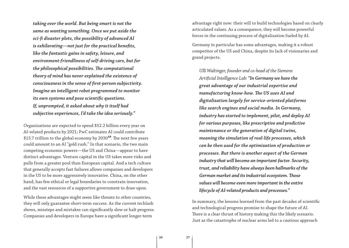*taking over the world. But being smart is not the same as wanting something. Once we put aside the sci-fi disaster plots, the possibility of advanced AI is exhilarating—not just for the practical benefits, like the fantastic gains in safety, leisure, and environment-friendliness of self-driving cars, but for the philosophical possibilities. The computational theory of mind has never explained the existence of consciousness in the sense of first-person subjectivity. Imagine an intelligent robot programmed to monitor its own systems and pose scientific questions. If, unprompted, it asked about why it itself had subjective experiences, I'd take the idea seriously."*

Organizations are expected to spend \$52.2 billion every year on AI-related products by 2021; PwC estimates AI could contribute \$15.7 trillion to the global economy by 2030*<sup>10</sup>*. The next few years could amount to an AI "gold rush." In that scenario, the two main competing economic powers—the US and China—appear to have distinct advantages. Venture capital in the US takes more risks and pulls from a greater pool than European capital. And a tech culture that generally accepts fast failures allows companies and developers in the US to be more aggressively innovative. China, on the other hand, has few ethical or legal boundaries to constrain innovation, and the vast resources of a supportive government to draw upon.

While these advantages might seem like threats to other countries, they will only guarantee short-term success. As the current techlash shows, missteps and mistakes can significantly slow or halt progress. Companies and developers in Europe have a significant longer-term

advantage right now: their will to build technologies based on clearly articulated values. As a consequence, they will become powerful forces in the continuing process of digitalization fueled by AI.

Germany in particular has some advantages, making it a robust competitor of the US and China, despite its lack of visionaries and grand projects.

*Ulli Waltinger, founder and co-head of the Siemens Artificial Intelligence Lab: "In Germany we have the great advantage of our industrial expertise and manufacturing know-how. The US uses AI and digitalization largely for service-oriented platforms like search engines and social media. In Germany, industry has started to implement, pilot, and deploy AI for various purposes, like prescriptive and predictive maintenance or the generation of digital twins, meaning the simulation of real-life processes, which can be then used for the optimization of production or processes. But there is another aspect of the German industry that will become an important factor. Security, trust, and reliability have always been hallmarks of the German market and its industrial ecosystem. Those values will become even more important in the entire lifecycle of AI-related products and processes."*

In summary, the lessons learned from the past decades of scientific and technological progress promise to shape the future of AI. There is a clear thrust of history making this the likely scenario. Just as the catastrophe of nuclear arms led to a cautious approach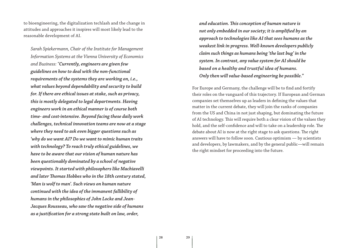to bioengineering, the digitalization techlash and the change in attitudes and approaches it inspires will most likely lead to the reasonable development of AI.

*Sarah Spiekermann, Chair of the Institute for Management Information Systems at the Vienna University of Economics and Business: "Currently, engineers are given few guidelines on how to deal with the non-functional requirements of the systems they are working on, i.e., what values beyond dependability and security to build for. If there are ethical issues at stake, such as privacy, this is mostly delegated to legal departments. Having engineers work in an ethical manner is of course both time- and cost-intensive. Beyond facing these daily work challenges, technical innovation teams are now at a stage where they need to ask even bigger questions such as 'why do we want AI? Do we want to mimic human traits with technology? To reach truly ethical guidelines, we have to be aware that our vision of human nature has been questionably dominated by a school of negative viewpoints. It started with philosophers like Machiavelli and later Thomas Hobbes who in the 18th century stated, 'Man is wolf to man'. Such views on human nature continued with the idea of the immanent fallibility of humans in the philosophies of John Locke and Jean-Jacques Rousseau, who saw the negative side of humans as a justification for a strong state built on law, order,* 

*and education. This conception of human nature is not only embedded in our society; it is amplified by an approach to technologies like AI that sees humans as the weakest link in progress. Well-known developers publicly claim such things as humans being 'the last bug' in the system. In contrast, any value system for AI should be based on a healthy and trustful idea of humans. Only then will value-based engineering be possible."*

For Europe and Germany, the challenge will be to find and fortify their roles on the vanguard of this trajectory. If European and German companies set themselves up as leaders in defining the values that matter in the current debate, they will join the ranks of companies from the US and China in not just shaping, but dominating the future of AI technology. This will require both a clear vision of the values they hold, and the self-confidence and will to take on a leadership role. The debate about AI is now at the right stage to ask questions. The right answers will have to follow soon. Cautious optimism — by scientists and developers, by lawmakers, and by the general public—will remain the right mindset for proceeding into the future.